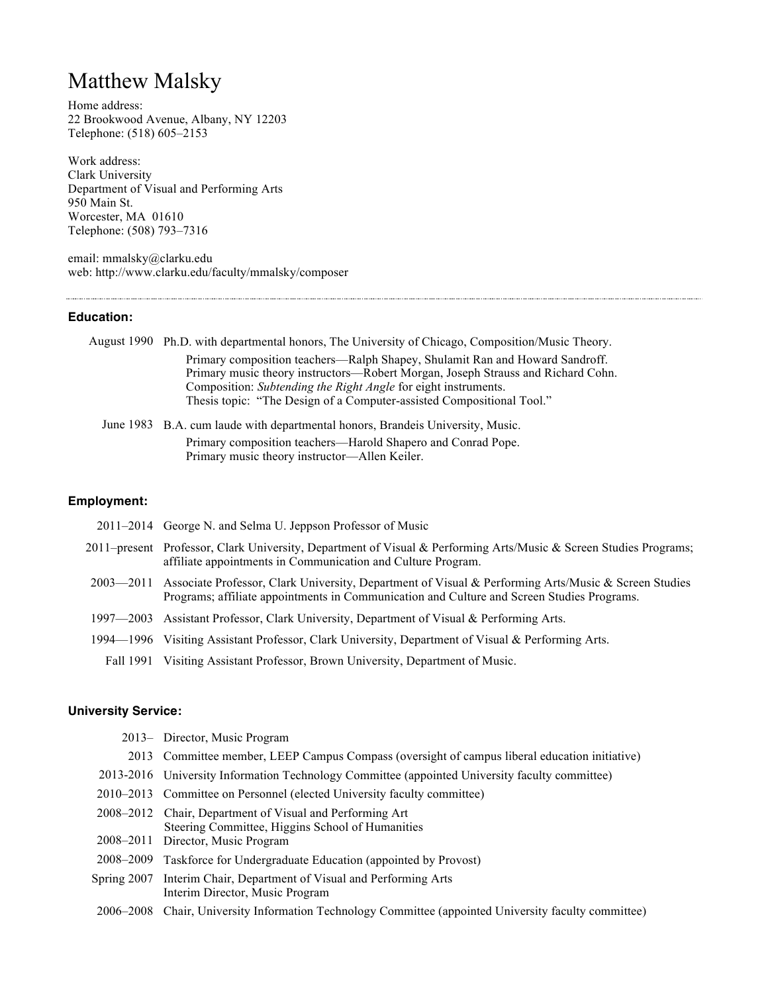# Matthew Malsky

Home address: 22 Brookwood Avenue, Albany, NY 12203 Telephone: (518) 605–2153

Work address: Clark University Department of Visual and Performing Arts 950 Main St. Worcester, MA 01610 Telephone: (508) 793–7316

email: mmalsky@clarku.edu web: http://www.clarku.edu/faculty/mmalsky/composer

#### **Education:**

| August 1990 Ph.D. with departmental honors, The University of Chicago, Composition/Music Theory.                                                                                                                                                                                                            |
|-------------------------------------------------------------------------------------------------------------------------------------------------------------------------------------------------------------------------------------------------------------------------------------------------------------|
| Primary composition teachers—Ralph Shapey, Shulamit Ran and Howard Sandroff.<br>Primary music theory instructors—Robert Morgan, Joseph Strauss and Richard Cohn.<br>Composition: Subtending the Right Angle for eight instruments.<br>Thesis topic: "The Design of a Computer-assisted Compositional Tool." |
| June 1983 B.A. cum laude with departmental honors, Brandeis University, Music.                                                                                                                                                                                                                              |

Primary composition teachers—Harold Shapero and Conrad Pope. Primary music theory instructor—Allen Keiler.

## **Employment:**

| 2011–2014 George N. and Selma U. Jeppson Professor of Music                                                                                                                                                  |
|--------------------------------------------------------------------------------------------------------------------------------------------------------------------------------------------------------------|
| 2011–present Professor, Clark University, Department of Visual & Performing Arts/Music & Screen Studies Programs;<br>affiliate appointments in Communication and Culture Program.                            |
| 2003—2011 Associate Professor, Clark University, Department of Visual & Performing Arts/Music & Screen Studies<br>Programs; affiliate appointments in Communication and Culture and Screen Studies Programs. |
| 1997—2003 Assistant Professor, Clark University, Department of Visual & Performing Arts.                                                                                                                     |
| 1994—1996 Visiting Assistant Professor, Clark University, Department of Visual & Performing Arts.                                                                                                            |
| Fall 1991 Visiting Assistant Professor, Brown University, Department of Music.                                                                                                                               |

# **University Service:**

|             | 2013- Director, Music Program                                                                                                                     |
|-------------|---------------------------------------------------------------------------------------------------------------------------------------------------|
|             | 2013 Committee member, LEEP Campus Compass (oversight of campus liberal education initiative)                                                     |
|             | 2013-2016 University Information Technology Committee (appointed University faculty committee)                                                    |
|             | 2010–2013 Committee on Personnel (elected University faculty committee)                                                                           |
|             | 2008–2012 Chair, Department of Visual and Performing Art<br>Steering Committee, Higgins School of Humanities<br>2008–2011 Director, Music Program |
|             | 2008–2009 Taskforce for Undergraduate Education (appointed by Provost)                                                                            |
| Spring 2007 | Interim Chair, Department of Visual and Performing Arts<br>Interim Director, Music Program                                                        |
|             | 2006–2008 Chair, University Information Technology Committee (appointed University faculty committee)                                             |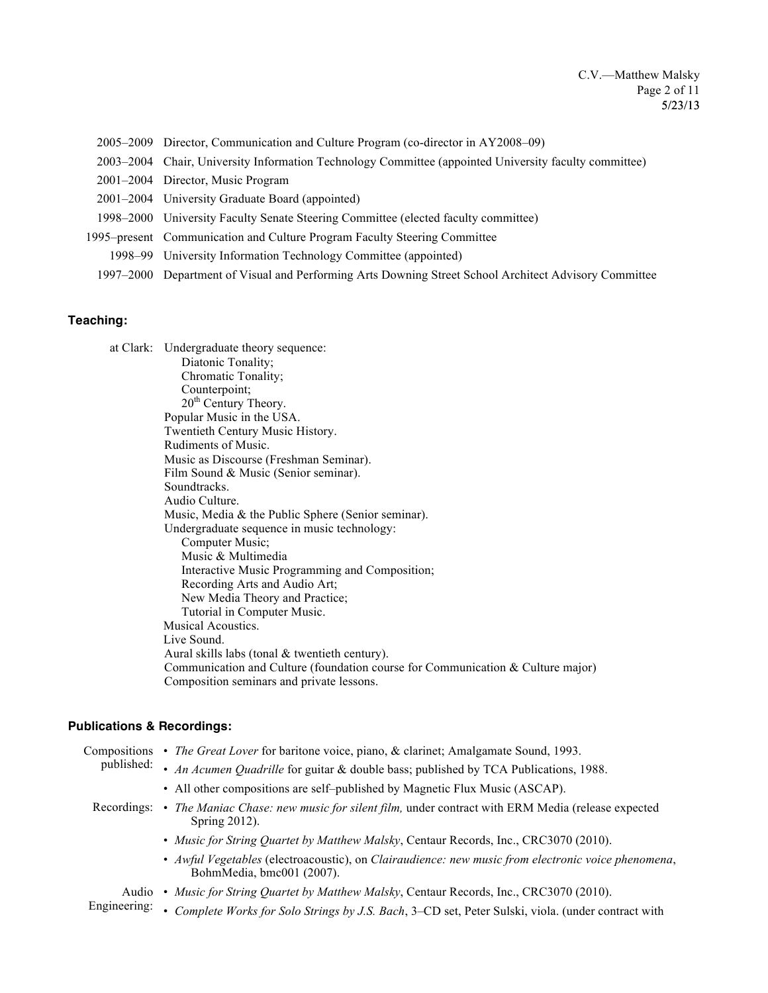- 2005–2009 Director, Communication and Culture Program (co-director in AY2008–09)
- 2003–2004 Chair, University Information Technology Committee (appointed University faculty committee)
- 2001–2004 Director, Music Program
- 2001–2004 University Graduate Board (appointed)
- 1998–2000 University Faculty Senate Steering Committee (elected faculty committee)
- 1995–present Communication and Culture Program Faculty Steering Committee
	- 1998–99 University Information Technology Committee (appointed)
- 1997–2000 Department of Visual and Performing Arts Downing Street School Architect Advisory Committee

#### **Teaching:**

at Clark: Undergraduate theory sequence: Diatonic Tonality; Chromatic Tonality; Counterpoint; 20<sup>th</sup> Century Theory. Popular Music in the USA. Twentieth Century Music History. Rudiments of Music. Music as Discourse (Freshman Seminar). Film Sound & Music (Senior seminar). Soundtracks. Audio Culture. Music, Media & the Public Sphere (Senior seminar). Undergraduate sequence in music technology: Computer Music; Music & Multimedia Interactive Music Programming and Composition; Recording Arts and Audio Art; New Media Theory and Practice; Tutorial in Computer Music. Musical Acoustics. Live Sound. Aural skills labs (tonal & twentieth century). Communication and Culture (foundation course for Communication & Culture major) Composition seminars and private lessons.

#### **Publications & Recordings:**

| Compositions<br>published: | • The Great Lover for baritone voice, piano, & clarinet; Amalgamate Sound, 1993.                                                |
|----------------------------|---------------------------------------------------------------------------------------------------------------------------------|
|                            | • An Acumen Quadrille for guitar & double bass; published by TCA Publications, 1988.                                            |
|                            | • All other compositions are self-published by Magnetic Flux Music (ASCAP).                                                     |
| Recordings:                | • The Maniac Chase: new music for silent film, under contract with ERM Media (release expected<br>Spring $2012$ ).              |
|                            | • Music for String Quartet by Matthew Malsky, Centaur Records, Inc., CRC3070 (2010).                                            |
|                            | • Awful Vegetables (electroacoustic), on Clairaudience: new music from electronic voice phenomena,<br>BohmMedia, bmc001 (2007). |
| Audio<br>Engineering:      | • Music for String Quartet by Matthew Malsky, Centaur Records, Inc., CRC3070 (2010).                                            |
|                            | Complete Works for Solo Strings by J.S. Bach, 3-CD set, Peter Sulski, viola. (under contract with                               |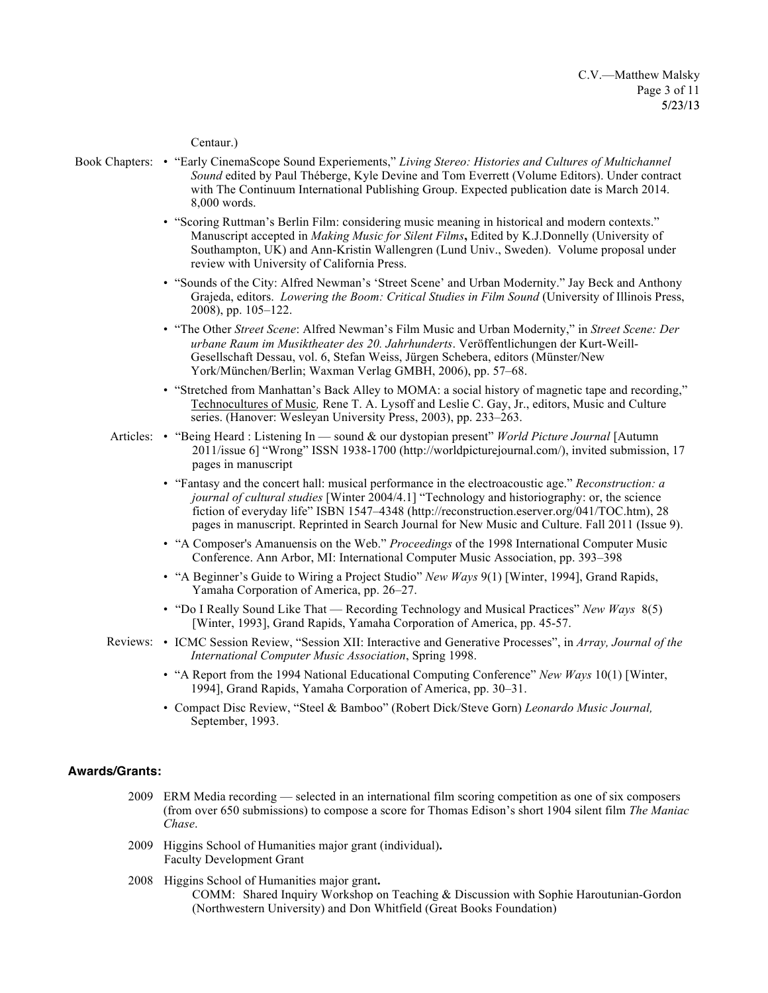#### Centaur.)

- Book Chapters: "Early CinemaScope Sound Experiements," *Living Stereo: Histories and Cultures of Multichannel Sound* edited by Paul Théberge, Kyle Devine and Tom Everrett (Volume Editors). Under contract with The Continuum International Publishing Group. Expected publication date is March 2014. 8,000 words.
	- "Scoring Ruttman's Berlin Film: considering music meaning in historical and modern contexts." Manuscript accepted in *Making Music for Silent Films***,** Edited by K.J.Donnelly (University of Southampton, UK) and Ann-Kristin Wallengren (Lund Univ., Sweden). Volume proposal under review with University of California Press.
	- "Sounds of the City: Alfred Newman's 'Street Scene' and Urban Modernity." Jay Beck and Anthony Grajeda, editors. *Lowering the Boom: Critical Studies in Film Sound* (University of Illinois Press, 2008), pp. 105–122.
	- "The Other *Street Scene*: Alfred Newman's Film Music and Urban Modernity," in *Street Scene: Der urbane Raum im Musiktheater des 20. Jahrhunderts*. Veröffentlichungen der Kurt-Weill-Gesellschaft Dessau, vol. 6, Stefan Weiss, Jürgen Schebera, editors (Münster/New York/München/Berlin; Waxman Verlag GMBH, 2006), pp. 57–68.
	- "Stretched from Manhattan's Back Alley to MOMA: a social history of magnetic tape and recording," Technocultures of Music*,* Rene T. A. Lysoff and Leslie C. Gay, Jr., editors, Music and Culture series. (Hanover: Wesleyan University Press, 2003), pp. 233–263.
	- Articles: "Being Heard : Listening In sound & our dystopian present" *World Picture Journal* [Autumn 2011/issue 6] "Wrong" ISSN 1938-1700 (http://worldpicturejournal.com/), invited submission, 17 pages in manuscript
		- "Fantasy and the concert hall: musical performance in the electroacoustic age." *Reconstruction: a journal of cultural studies* [Winter 2004/4.1] "Technology and historiography: or, the science fiction of everyday life" ISBN 1547–4348 (http://reconstruction.eserver.org/041/TOC.htm), 28 pages in manuscript. Reprinted in Search Journal for New Music and Culture. Fall 2011 (Issue 9).
		- "A Composer's Amanuensis on the Web." *Proceedings* of the 1998 International Computer Music Conference. Ann Arbor, MI: International Computer Music Association, pp. 393–398
		- "A Beginner's Guide to Wiring a Project Studio" *New Ways* 9(1) [Winter, 1994], Grand Rapids, Yamaha Corporation of America, pp. 26–27.
		- "Do I Really Sound Like That Recording Technology and Musical Practices" *New Ways* 8(5) [Winter, 1993], Grand Rapids, Yamaha Corporation of America, pp. 45-57.
	- Reviews: ICMC Session Review, "Session XII: Interactive and Generative Processes", in *Array, Journal of the International Computer Music Association*, Spring 1998.
		- "A Report from the 1994 National Educational Computing Conference" *New Ways* 10(1) [Winter, 1994], Grand Rapids, Yamaha Corporation of America, pp. 30–31.
		- Compact Disc Review, "Steel & Bamboo" (Robert Dick/Steve Gorn) *Leonardo Music Journal,* September, 1993.

#### **Awards/Grants:**

- 2009 ERM Media recording selected in an international film scoring competition as one of six composers (from over 650 submissions) to compose a score for Thomas Edison's short 1904 silent film *The Maniac Chase*.
- 2009 Higgins School of Humanities major grant (individual)**.** Faculty Development Grant
- 2008 Higgins School of Humanities major grant**.**  COMM: Shared Inquiry Workshop on Teaching & Discussion with Sophie Haroutunian-Gordon (Northwestern University) and Don Whitfield (Great Books Foundation)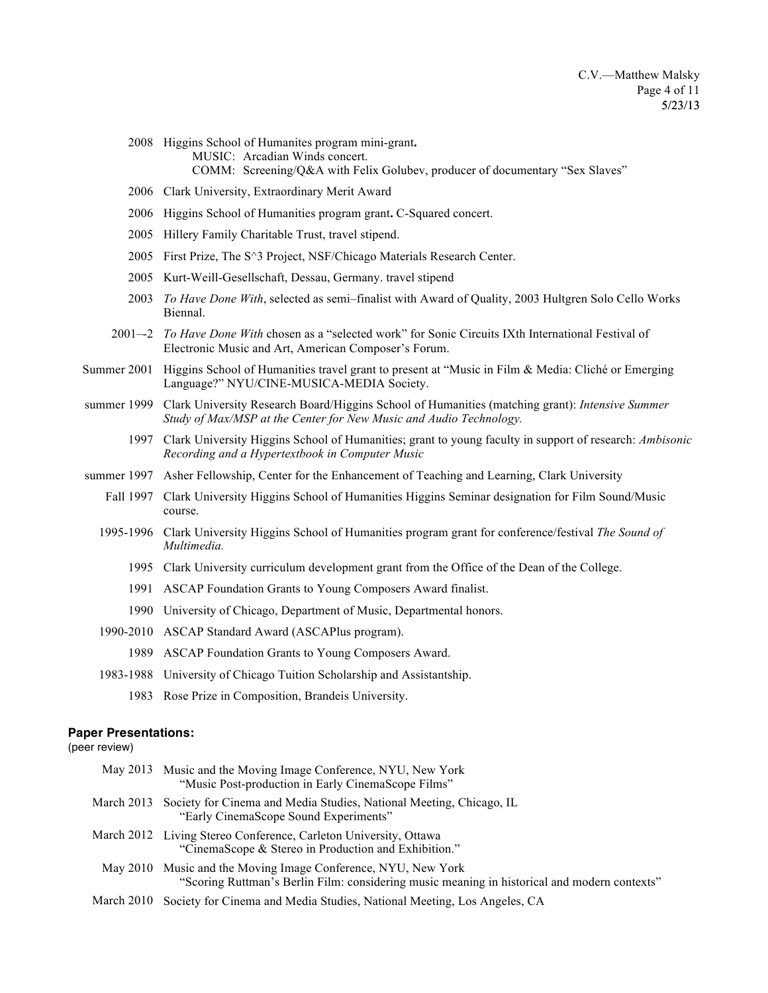- 2008 Higgins School of Humanites program mini-grant**.**  MUSIC: Arcadian Winds concert. COMM: Screening/Q&A with Felix Golubev, producer of documentary "Sex Slaves"
- 2006 Clark University, Extraordinary Merit Award
- 2006 Higgins School of Humanities program grant**.** C-Squared concert.
- 2005 Hillery Family Charitable Trust, travel stipend.
- 2005 First Prize, The S^3 Project, NSF/Chicago Materials Research Center.
- 2005 Kurt-Weill-Gesellschaft, Dessau, Germany. travel stipend
- 2003 *To Have Done With*, selected as semi–finalist with Award of Quality, 2003 Hultgren Solo Cello Works Biennal.
- 2001–-2 *To Have Done With* chosen as a "selected work" for Sonic Circuits IXth International Festival of Electronic Music and Art, American Composer's Forum.
- Summer 2001 Higgins School of Humanities travel grant to present at "Music in Film & Media: Cliché or Emerging Language?" NYU/CINE-MUSICA-MEDIA Society.
- summer 1999 Clark University Research Board/Higgins School of Humanities (matching grant): *Intensive Summer Study of Max/MSP at the Center for New Music and Audio Technology.*
	- 1997 Clark University Higgins School of Humanities; grant to young faculty in support of research: *Ambisonic Recording and a Hypertextbook in Computer Music*
- summer 1997 Asher Fellowship, Center for the Enhancement of Teaching and Learning, Clark University
	- Fall 1997 Clark University Higgins School of Humanities Higgins Seminar designation for Film Sound/Music course.
	- 1995-1996 Clark University Higgins School of Humanities program grant for conference/festival *The Sound of Multimedia.*
		- 1995 Clark University curriculum development grant from the Office of the Dean of the College.
		- 1991 ASCAP Foundation Grants to Young Composers Award finalist.
		- 1990 University of Chicago, Department of Music, Departmental honors.
	- 1990-2010 ASCAP Standard Award (ASCAPlus program).
		- 1989 ASCAP Foundation Grants to Young Composers Award.
	- 1983-1988 University of Chicago Tuition Scholarship and Assistantship.
		- 1983 Rose Prize in Composition, Brandeis University.

#### **Paper Presentations:**

(peer review)

| May 2013 Music and the Moving Image Conference, NYU, New York<br>"Music Post-production in Early CinemaScope Films"                                           |
|---------------------------------------------------------------------------------------------------------------------------------------------------------------|
| March 2013 Society for Cinema and Media Studies, National Meeting, Chicago, IL<br>"Early CinemaScope Sound Experiments"                                       |
| March 2012 Living Stereo Conference, Carleton University, Ottawa<br>"CinemaScope & Stereo in Production and Exhibition."                                      |
| May 2010 Music and the Moving Image Conference, NYU, New York<br>"Scoring Ruttman's Berlin Film: considering music meaning in historical and modern contexts" |
| March 2010 Society for Cinema and Media Studies, National Meeting, Los Angeles, CA                                                                            |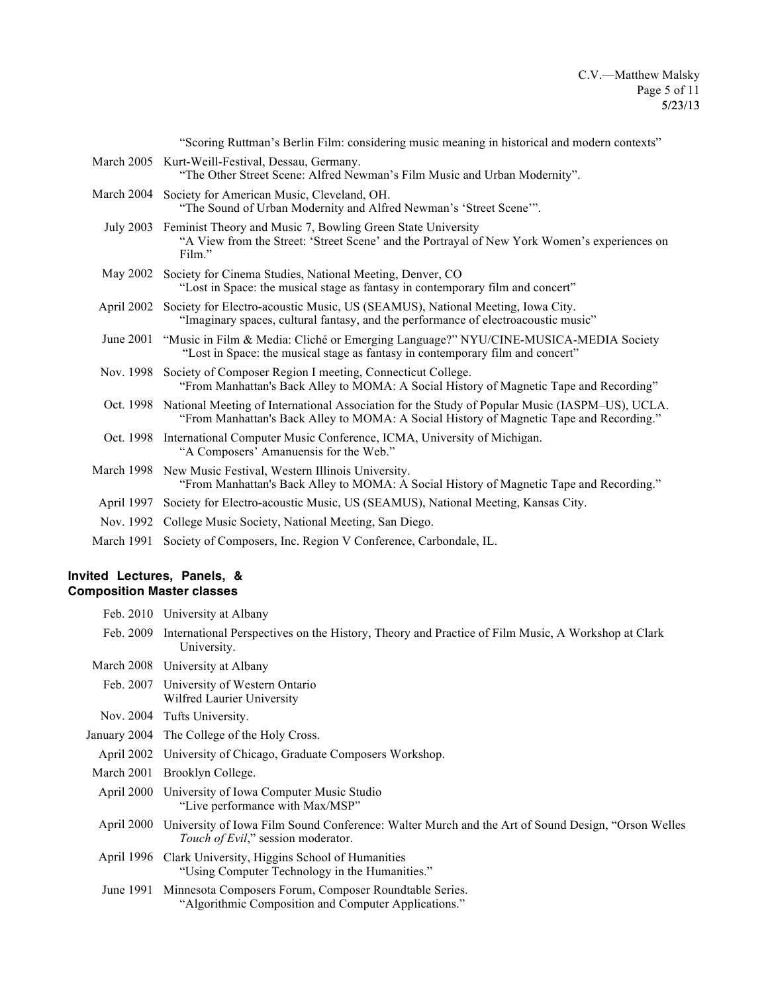|            | "Scoring Ruttman's Berlin Film: considering music meaning in historical and modern contexts"                                                                                                        |
|------------|-----------------------------------------------------------------------------------------------------------------------------------------------------------------------------------------------------|
|            | March 2005 Kurt-Weill-Festival, Dessau, Germany.<br>"The Other Street Scene: Alfred Newman's Film Music and Urban Modernity".                                                                       |
|            | March 2004 Society for American Music, Cleveland, OH.<br>"The Sound of Urban Modernity and Alfred Newman's 'Street Scene'".                                                                         |
|            | July 2003 Feminist Theory and Music 7, Bowling Green State University<br>"A View from the Street: 'Street Scene' and the Portrayal of New York Women's experiences on<br>Film."                     |
|            | May 2002 Society for Cinema Studies, National Meeting, Denver, CO<br>"Lost in Space: the musical stage as fantasy in contemporary film and concert"                                                 |
|            | April 2002 Society for Electro-acoustic Music, US (SEAMUS), National Meeting, Iowa City.<br>"Imaginary spaces, cultural fantasy, and the performance of electroacoustic music"                      |
|            | June 2001 "Music in Film & Media: Cliché or Emerging Language?" NYU/CINE-MUSICA-MEDIA Society<br>"Lost in Space: the musical stage as fantasy in contemporary film and concert"                     |
|            | Nov. 1998 Society of Composer Region I meeting, Connecticut College.<br>"From Manhattan's Back Alley to MOMA: A Social History of Magnetic Tape and Recording"                                      |
|            | Oct. 1998 National Meeting of International Association for the Study of Popular Music (IASPM–US), UCLA.<br>"From Manhattan's Back Alley to MOMA: A Social History of Magnetic Tape and Recording." |
|            | Oct. 1998 International Computer Music Conference, ICMA, University of Michigan.<br>"A Composers' Amanuensis for the Web."                                                                          |
|            | March 1998 New Music Festival, Western Illinois University.<br>"From Manhattan's Back Alley to MOMA: A Social History of Magnetic Tape and Recording."                                              |
|            | April 1997 Society for Electro-acoustic Music, US (SEAMUS), National Meeting, Kansas City.                                                                                                          |
|            | Nov. 1992 College Music Society, National Meeting, San Diego.                                                                                                                                       |
| March 1991 | Society of Composers, Inc. Region V Conference, Carbondale, IL.                                                                                                                                     |

# **Invited Lectures, Panels, & Composition Master classes**

|            | Feb. 2010 University at Albany                                                                                                           |
|------------|------------------------------------------------------------------------------------------------------------------------------------------|
| Feb. 2009  | International Perspectives on the History, Theory and Practice of Film Music, A Workshop at Clark<br>University.                         |
|            | March 2008 University at Albany                                                                                                          |
|            | Feb. 2007 University of Western Ontario<br>Wilfred Laurier University                                                                    |
|            | Nov. 2004 Tufts University.                                                                                                              |
|            | January 2004 The College of the Holy Cross.                                                                                              |
|            | April 2002 University of Chicago, Graduate Composers Workshop.                                                                           |
|            | March 2001 Brooklyn College.                                                                                                             |
|            | April 2000 University of Iowa Computer Music Studio<br>"Live performance with Max/MSP"                                                   |
| April 2000 | University of Iowa Film Sound Conference: Walter Murch and the Art of Sound Design, "Orson Welles"<br>Touch of Evil," session moderator. |
|            | April 1996 Clark University, Higgins School of Humanities<br>"Using Computer Technology in the Humanities."                              |
| June 1991  | Minnesota Composers Forum, Composer Roundtable Series.<br>"Algorithmic Composition and Computer Applications."                           |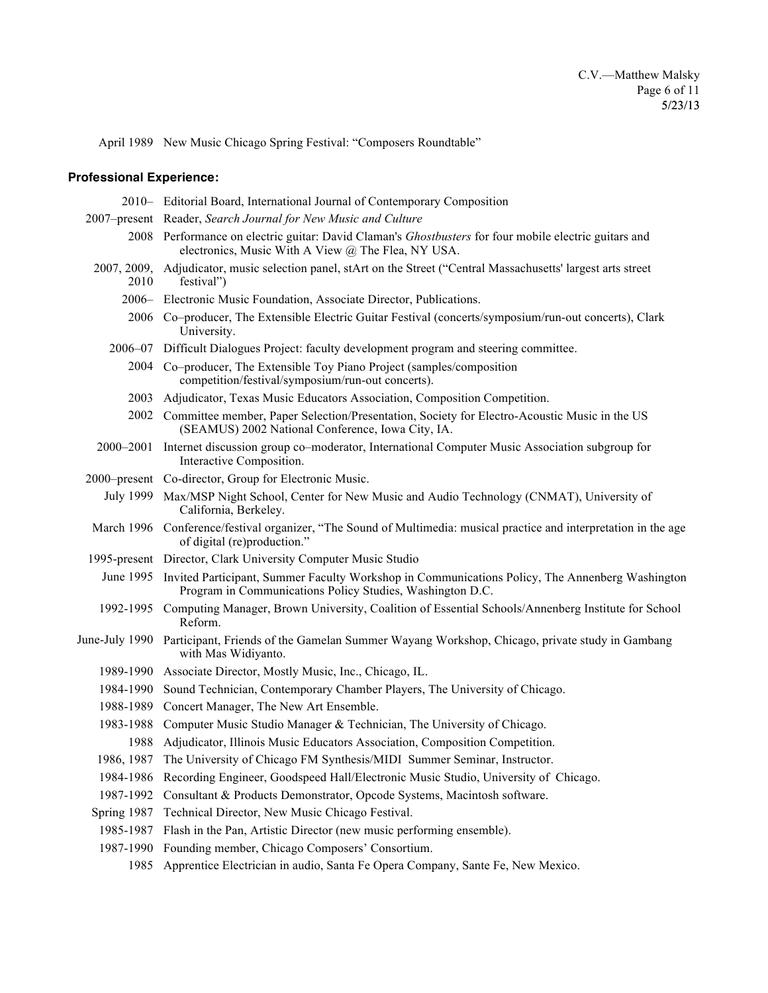April 1989 New Music Chicago Spring Festival: "Composers Roundtable"

## **Professional Experience:**

|             | 2010 – Editorial Board, International Journal of Contemporary Composition                                                                                              |
|-------------|------------------------------------------------------------------------------------------------------------------------------------------------------------------------|
|             | 2007-present Reader, Search Journal for New Music and Culture                                                                                                          |
|             | 2008 Performance on electric guitar: David Claman's Ghostbusters for four mobile electric guitars and<br>electronics, Music With A View @ The Flea, NY USA.            |
| 2010        | 2007, 2009, Adjudicator, music selection panel, stArt on the Street ("Central Massachusetts' largest arts street<br>festival")                                         |
|             | 2006 – Electronic Music Foundation, Associate Director, Publications.                                                                                                  |
|             | 2006 Co-producer, The Extensible Electric Guitar Festival (concerts/symposium/run-out concerts), Clark<br>University.                                                  |
|             | 2006–07 Difficult Dialogues Project: faculty development program and steering committee.                                                                               |
|             | 2004 Co-producer, The Extensible Toy Piano Project (samples/composition<br>competition/festival/symposium/run-out concerts).                                           |
|             | 2003 Adjudicator, Texas Music Educators Association, Composition Competition.                                                                                          |
|             | 2002 Committee member, Paper Selection/Presentation, Society for Electro-Acoustic Music in the US<br>(SEAMUS) 2002 National Conference, Iowa City, IA.                 |
|             | 2000–2001 Internet discussion group co–moderator, International Computer Music Association subgroup for<br>Interactive Composition.                                    |
|             | 2000–present Co-director, Group for Electronic Music.                                                                                                                  |
|             | July 1999 Max/MSP Night School, Center for New Music and Audio Technology (CNMAT), University of<br>California, Berkeley.                                              |
|             | March 1996 Conference/festival organizer, "The Sound of Multimedia: musical practice and interpretation in the age<br>of digital (re)production."                      |
|             | 1995-present Director, Clark University Computer Music Studio                                                                                                          |
|             | June 1995 Invited Participant, Summer Faculty Workshop in Communications Policy, The Annenberg Washington<br>Program in Communications Policy Studies, Washington D.C. |
|             | 1992-1995 Computing Manager, Brown University, Coalition of Essential Schools/Annenberg Institute for School<br>Reform.                                                |
|             | June-July 1990 Participant, Friends of the Gamelan Summer Wayang Workshop, Chicago, private study in Gambang<br>with Mas Widiyanto.                                    |
|             | 1989-1990 Associate Director, Mostly Music, Inc., Chicago, IL.                                                                                                         |
| 1984-1990   | Sound Technician, Contemporary Chamber Players, The University of Chicago.                                                                                             |
|             | 1988-1989 Concert Manager, The New Art Ensemble.                                                                                                                       |
| 1983-1988   | Computer Music Studio Manager & Technician, The University of Chicago.                                                                                                 |
| 1988        | Adjudicator, Illinois Music Educators Association, Composition Competition.                                                                                            |
|             | 1986, 1987 The University of Chicago FM Synthesis/MIDI Summer Seminar, Instructor.                                                                                     |
| 1984-1986   | Recording Engineer, Goodspeed Hall/Electronic Music Studio, University of Chicago.                                                                                     |
| 1987-1992   | Consultant & Products Demonstrator, Opcode Systems, Macintosh software.                                                                                                |
| Spring 1987 | Technical Director, New Music Chicago Festival.                                                                                                                        |
| 1985-1987   | Flash in the Pan, Artistic Director (new music performing ensemble).                                                                                                   |
| 1987-1990   | Founding member, Chicago Composers' Consortium.                                                                                                                        |
| 1985        | Apprentice Electrician in audio, Santa Fe Opera Company, Sante Fe, New Mexico.                                                                                         |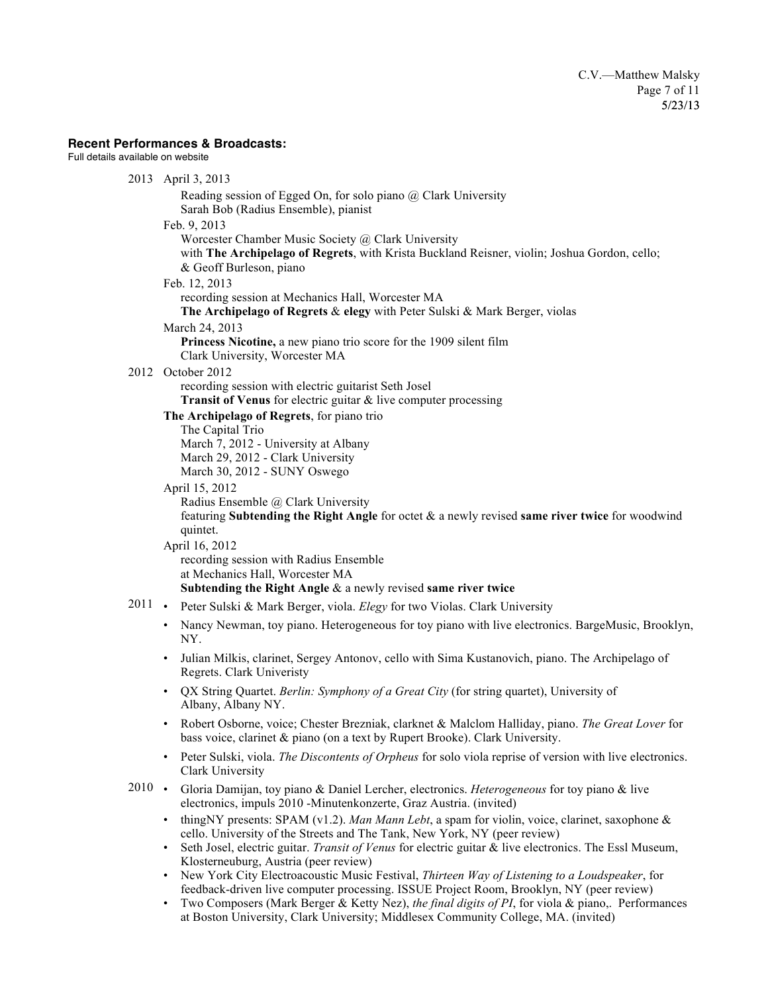## **Recent Performances & Broadcasts:**

Full details available on website

|      | 2013 April 3, 2013                                                                                                                                                                                         |
|------|------------------------------------------------------------------------------------------------------------------------------------------------------------------------------------------------------------|
|      | Reading session of Egged On, for solo piano @ Clark University<br>Sarah Bob (Radius Ensemble), pianist                                                                                                     |
|      | Feb. 9, 2013                                                                                                                                                                                               |
|      | Worcester Chamber Music Society @ Clark University<br>with The Archipelago of Regrets, with Krista Buckland Reisner, violin; Joshua Gordon, cello;<br>& Geoff Burleson, piano                              |
|      | Feb. 12, 2013                                                                                                                                                                                              |
|      | recording session at Mechanics Hall, Worcester MA<br>The Archipelago of Regrets & elegy with Peter Sulski & Mark Berger, violas                                                                            |
|      | March 24, 2013                                                                                                                                                                                             |
|      | Princess Nicotine, a new piano trio score for the 1909 silent film<br>Clark University, Worcester MA                                                                                                       |
|      | 2012 October 2012                                                                                                                                                                                          |
|      | recording session with electric guitarist Seth Josel<br><b>Transit of Venus</b> for electric guitar $\&$ live computer processing                                                                          |
|      | The Archipelago of Regrets, for piano trio                                                                                                                                                                 |
|      | The Capital Trio                                                                                                                                                                                           |
|      | March 7, 2012 - University at Albany                                                                                                                                                                       |
|      | March 29, 2012 - Clark University                                                                                                                                                                          |
|      | March 30, 2012 - SUNY Oswego                                                                                                                                                                               |
|      | April 15, 2012                                                                                                                                                                                             |
|      | Radius Ensemble @ Clark University<br>featuring Subtending the Right Angle for octet $\&$ a newly revised same river twice for woodwind<br>quintet.                                                        |
|      | April 16, 2012                                                                                                                                                                                             |
|      | recording session with Radius Ensemble<br>at Mechanics Hall, Worcester MA                                                                                                                                  |
|      | Subtending the Right Angle $\&$ a newly revised same river twice                                                                                                                                           |
|      | 2011 • Peter Sulski & Mark Berger, viola. Elegy for two Violas. Clark University                                                                                                                           |
|      | Nancy Newman, toy piano. Heterogeneous for toy piano with live electronics. BargeMusic, Brooklyn,<br>$\bullet$<br>NY.                                                                                      |
|      | Julian Milkis, clarinet, Sergey Antonov, cello with Sima Kustanovich, piano. The Archipelago of<br>$\bullet$<br>Regrets. Clark Univeristy                                                                  |
|      | QX String Quartet. Berlin: Symphony of a Great City (for string quartet), University of<br>$\bullet$<br>Albany, Albany NY.                                                                                 |
|      | Robert Osborne, voice; Chester Brezniak, clarknet & Malclom Halliday, piano. The Great Lover for<br>$\bullet$<br>bass voice, clarinet & piano (on a text by Rupert Brooke). Clark University.              |
|      | Peter Sulski, viola. The Discontents of Orpheus for solo viola reprise of version with live electronics.<br>Clark University                                                                               |
| 2010 | Gloria Damijan, toy piano & Daniel Lercher, electronics. Heterogeneous for toy piano & live<br>$\bullet$<br>electronics, impuls 2010 - Minutenkonzerte, Graz Austria. (invited)                            |
|      | thing NY presents: SPAM (v1.2). Man Mann Lebt, a spam for violin, voice, clarinet, saxophone &<br>$\bullet$                                                                                                |
|      | cello. University of the Streets and The Tank, New York, NY (peer review)                                                                                                                                  |
|      | Seth Josel, electric guitar. Transit of Venus for electric guitar & live electronics. The Essl Museum,<br>$\bullet$                                                                                        |
|      | Klosterneuburg, Austria (peer review)<br>New York City Electroacoustic Music Festival, Thirteen Way of Listening to a Loudspeaker, for                                                                     |
|      | feedback-driven live computer processing. ISSUE Project Room, Brooklyn, NY (peer review)<br>Two Composers (Mark Berger & Ketty Nez), the final digits of PI, for viola & piano,. Performances<br>$\bullet$ |
|      | at Boston University, Clark University; Middlesex Community College, MA. (invited)                                                                                                                         |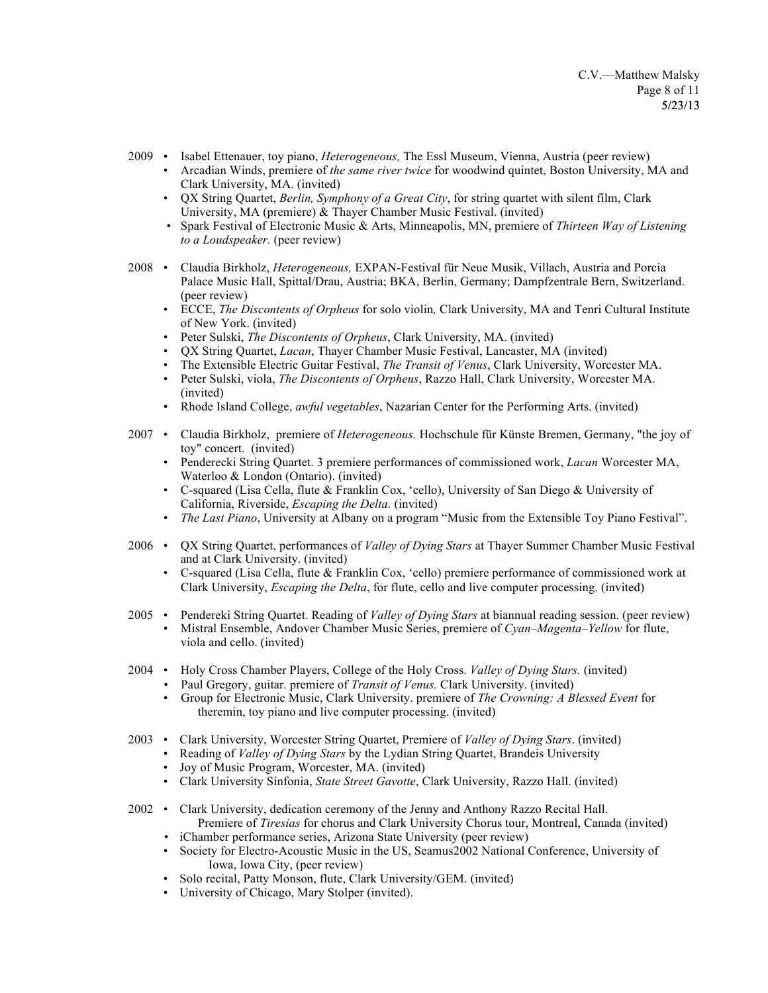- 2009 Isabel Ettenauer, toy piano, *Heterogeneous,* The Essl Museum, Vienna, Austria (peer review)
	- Arcadian Winds, premiere of *the same river twice* for woodwind quintet, Boston University, MA and Clark University, MA. (invited)
	- QX String Quartet, *Berlin, Symphony of a Great City*, for string quartet with silent film, Clark University, MA (premiere) & Thayer Chamber Music Festival. (invited)
	- Spark Festival of Electronic Music & Arts, Minneapolis, MN, premiere of *Thirteen Way of Listening to a Loudspeaker.* (peer review)
- 2008 Claudia Birkholz, *Heterogeneous,* EXPAN-Festival für Neue Musik, Villach, Austria and Porcia Palace Music Hall, Spittal/Drau, Austria; BKA, Berlin, Germany; Dampfzentrale Bern, Switzerland. (peer review)
	- ECCE, *The Discontents of Orpheus* for solo violin*,* Clark University, MA and Tenri Cultural Institute of New York. (invited)
	- Peter Sulski, *The Discontents of Orpheus*, Clark University, MA. (invited)
	- QX String Quartet, *Lacan*, Thayer Chamber Music Festival, Lancaster, MA (invited)
	- The Extensible Electric Guitar Festival, *The Transit of Venus*, Clark University, Worcester MA.
	- Peter Sulski, viola, *The Discontents of Orpheus*, Razzo Hall, Clark University, Worcester MA. (invited)
	- Rhode Island College, *awful vegetables*, Nazarian Center for the Performing Arts. (invited)
- 2007 Claudia Birkholz, premiere of *Heterogeneous.* Hochschule für Künste Bremen, Germany, "the joy of toy" concert. (invited)
	- Penderecki String Quartet. 3 premiere performances of commissioned work, *Lacan* Worcester MA, Waterloo & London (Ontario). (invited)
	- C-squared (Lisa Cella, flute & Franklin Cox, 'cello), University of San Diego & University of California, Riverside, *Escaping the Delta.* (invited)
	- *The Last Piano*, University at Albany on a program "Music from the Extensible Toy Piano Festival".
- 2006 QX String Quartet, performances of *Valley of Dying Stars* at Thayer Summer Chamber Music Festival and at Clark University. (invited)
	- C-squared (Lisa Cella, flute & Franklin Cox, 'cello) premiere performance of commissioned work at Clark University, *Escaping the Delta*, for flute, cello and live computer processing. (invited)
- 2005 Pendereki String Quartet. Reading of *Valley of Dying Stars* at biannual reading session. (peer review) • Mistral Ensemble, Andover Chamber Music Series, premiere of *Cyan–Magenta–Yellow* for flute, viola and cello. (invited)
- 2004 Holy Cross Chamber Players, College of the Holy Cross. *Valley of Dying Stars.* (invited)
	- *•* Paul Gregory, guitar. premiere of *Transit of Venus.* Clark University. (invited)
	- Group for Electronic Music, Clark University. premiere of *The Crowning: A Blessed Event* for theremin, toy piano and live computer processing. (invited)
- 2003 Clark University, Worcester String Quartet, Premiere of *Valley of Dying Stars*. (invited)
	- Reading of *Valley of Dying Stars* by the Lydian String Quartet, Brandeis University
		- Joy of Music Program, Worcester, MA. (invited)
	- Clark University Sinfonia, *State Street Gavotte*, Clark University, Razzo Hall. (invited)
- 2002 Clark University, dedication ceremony of the Jenny and Anthony Razzo Recital Hall. Premiere of *Tiresias* for chorus and Clark University Chorus tour, Montreal, Canada (invited)
	- iChamber performance series, Arizona State University (peer review)
	- Society for Electro-Acoustic Music in the US, Seamus2002 National Conference, University of Iowa, Iowa City, (peer review)
	- Solo recital, Patty Monson, flute, Clark University/GEM. (invited)
	- University of Chicago, Mary Stolper (invited).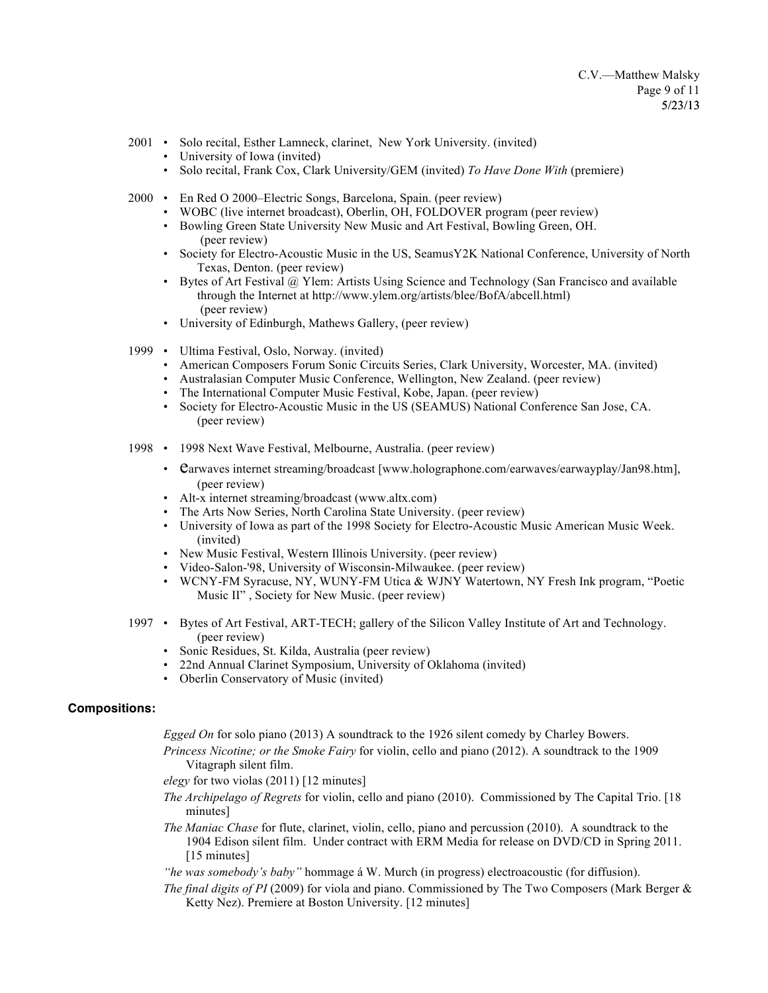- 2001 Solo recital, Esther Lamneck, clarinet, New York University. (invited)
	- University of Iowa (invited)
	- Solo recital, Frank Cox, Clark University/GEM (invited) *To Have Done With* (premiere)
- 2000 En Red O 2000–Electric Songs, Barcelona, Spain. (peer review)
	- WOBC (live internet broadcast), Oberlin, OH, FOLDOVER program (peer review)
	- Bowling Green State University New Music and Art Festival, Bowling Green, OH. (peer review)
	- Society for Electro-Acoustic Music in the US, SeamusY2K National Conference, University of North Texas, Denton. (peer review)
	- Bytes of Art Festival @ Ylem: Artists Using Science and Technology (San Francisco and available through the Internet at http://www.ylem.org/artists/blee/BofA/abcell.html) (peer review)
	- University of Edinburgh, Mathews Gallery, (peer review)
- 1999 Ultima Festival, Oslo, Norway. (invited)
	- American Composers Forum Sonic Circuits Series, Clark University, Worcester, MA. (invited)
	- Australasian Computer Music Conference, Wellington, New Zealand. (peer review)
	- The International Computer Music Festival, Kobe, Japan. (peer review)
	- Society for Electro-Acoustic Music in the US (SEAMUS) National Conference San Jose, CA. (peer review)
- 1998 1998 Next Wave Festival, Melbourne, Australia. (peer review)
	- Carwaves internet streaming/broadcast [www.holographone.com/earwaves/earwayplay/Jan98.htm], (peer review)
	- Alt-x internet streaming/broadcast (www.altx.com)
	- The Arts Now Series, North Carolina State University. (peer review)
	- University of Iowa as part of the 1998 Society for Electro-Acoustic Music American Music Week. (invited)
	- New Music Festival, Western Illinois University. (peer review)
	- Video-Salon-'98, University of Wisconsin-Milwaukee. (peer review)
	- WCNY-FM Syracuse, NY, WUNY-FM Utica & WJNY Watertown, NY Fresh Ink program, "Poetic Music II" , Society for New Music. (peer review)
- 1997 Bytes of Art Festival, ART-TECH; gallery of the Silicon Valley Institute of Art and Technology. (peer review)
	- Sonic Residues, St. Kilda, Australia (peer review)
	- 22nd Annual Clarinet Symposium, University of Oklahoma (invited)
	- Oberlin Conservatory of Music (invited)

#### **Compositions:**

*Egged On* for solo piano (2013) A soundtrack to the 1926 silent comedy by Charley Bowers.

- *Princess Nicotine; or the Smoke Fairy* for violin, cello and piano (2012). A soundtrack to the 1909 Vitagraph silent film.
- *elegy* for two violas (2011) [12 minutes]
- *The Archipelago of Regrets* for violin, cello and piano (2010). Commissioned by The Capital Trio. [18 minutes]
- *The Maniac Chase* for flute, clarinet, violin, cello, piano and percussion (2010). A soundtrack to the 1904 Edison silent film. Under contract with ERM Media for release on DVD/CD in Spring 2011. [15 minutes]
- *"he was somebody's baby"* hommage á W. Murch (in progress) electroacoustic (for diffusion).
- *The final digits of PI* (2009) for viola and piano. Commissioned by The Two Composers (Mark Berger & Ketty Nez). Premiere at Boston University. [12 minutes]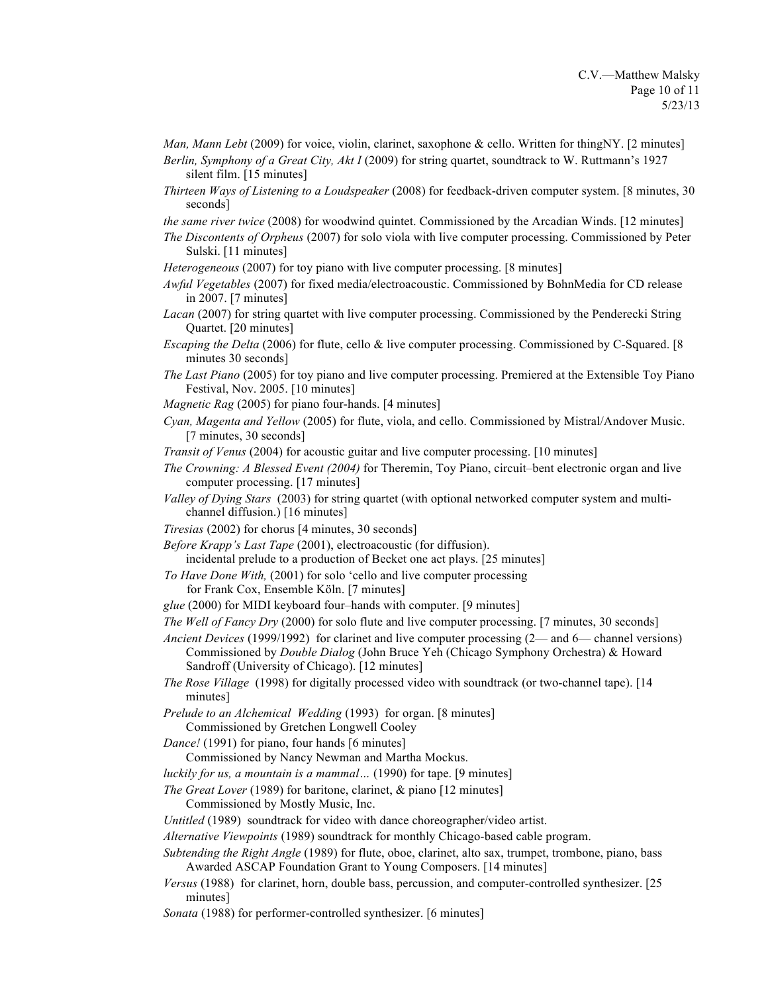*Man, Mann Lebt* (2009) for voice, violin, clarinet, saxophone & cello. Written for thingNY. [2 minutes] *Berlin, Symphony of a Great City, Akt I* (2009) for string quartet, soundtrack to W. Ruttmann's 1927

silent film. [15 minutes]

- *Thirteen Ways of Listening to a Loudspeaker* (2008) for feedback-driven computer system. [8 minutes, 30 seconds]
- *the same river twice* (2008) for woodwind quintet. Commissioned by the Arcadian Winds. [12 minutes]
- *The Discontents of Orpheus* (2007) for solo viola with live computer processing. Commissioned by Peter Sulski. [11 minutes]
- *Heterogeneous* (2007) for toy piano with live computer processing. [8 minutes]
- *Awful Vegetables* (2007) for fixed media/electroacoustic. Commissioned by BohnMedia for CD release in 2007. [7 minutes]
- *Lacan* (2007) for string quartet with live computer processing. Commissioned by the Penderecki String Quartet. [20 minutes]
- *Escaping the Delta* (2006) for flute, cello & live computer processing. Commissioned by C-Squared. [8 minutes 30 seconds]
- *The Last Piano* (2005) for toy piano and live computer processing. Premiered at the Extensible Toy Piano Festival, Nov. 2005. [10 minutes]
- *Magnetic Rag* (2005) for piano four-hands. [4 minutes]
- *Cyan, Magenta and Yellow* (2005) for flute, viola, and cello. Commissioned by Mistral/Andover Music. [7 minutes, 30 seconds]
- *Transit of Venus* (2004) for acoustic guitar and live computer processing. [10 minutes]
- *The Crowning: A Blessed Event (2004)* for Theremin, Toy Piano, circuit–bent electronic organ and live computer processing. [17 minutes]
- *Valley of Dying Stars* (2003) for string quartet (with optional networked computer system and multichannel diffusion.) [16 minutes]
- *Tiresias* (2002) for chorus [4 minutes, 30 seconds]
- *Before Krapp's Last Tape* (2001), electroacoustic (for diffusion).
- incidental prelude to a production of Becket one act plays. [25 minutes]
- *To Have Done With,* (2001) for solo 'cello and live computer processing
	- for Frank Cox, Ensemble Köln. [7 minutes]
- *glue* (2000) for MIDI keyboard four–hands with computer. [9 minutes]
- *The Well of Fancy Dry* (2000) for solo flute and live computer processing. [7 minutes, 30 seconds]
- *Ancient Devices* (1999/1992) for clarinet and live computer processing (2— and 6— channel versions) Commissioned by *Double Dialog* (John Bruce Yeh (Chicago Symphony Orchestra) & Howard Sandroff (University of Chicago). [12 minutes]
- *The Rose Village* (1998) for digitally processed video with soundtrack (or two-channel tape). [14 minutes]
- *Prelude to an Alchemical Wedding* (1993) for organ. [8 minutes]
	- Commissioned by Gretchen Longwell Cooley
- *Dance!* (1991) for piano, four hands [6 minutes]
- Commissioned by Nancy Newman and Martha Mockus.
- *luckily for us, a mountain is a mammal…* (1990) for tape. [9 minutes]
- *The Great Lover* (1989) for baritone, clarinet, & piano [12 minutes]
	- Commissioned by Mostly Music, Inc.
- *Untitled* (1989) soundtrack for video with dance choreographer/video artist.
- *Alternative Viewpoints* (1989) soundtrack for monthly Chicago-based cable program.
- *Subtending the Right Angle* (1989) for flute, oboe, clarinet, alto sax, trumpet, trombone, piano, bass Awarded ASCAP Foundation Grant to Young Composers. [14 minutes]
- *Versus* (1988) for clarinet, horn, double bass, percussion, and computer-controlled synthesizer. [25 minutes]
- *Sonata* (1988) for performer-controlled synthesizer. [6 minutes]